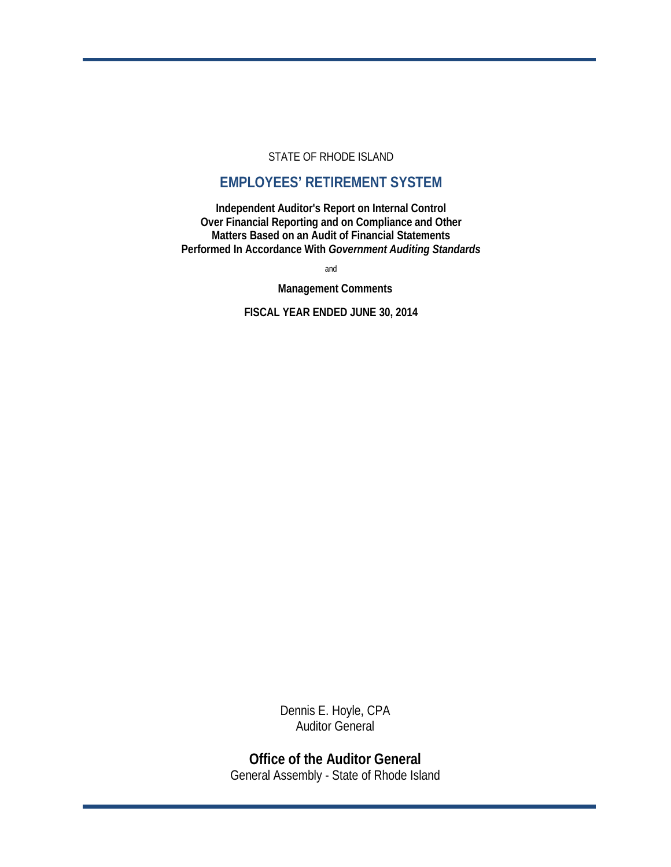## STATE OF RHODE ISLAND

# **EMPLOYEES' RETIREMENT SYSTEM**

**Independent Auditor's Report on Internal Control Over Financial Reporting and on Compliance and Other Matters Based on an Audit of Financial Statements Performed In Accordance With** *Government Auditing Standards*

and

**Management Comments**

**FISCAL YEAR ENDED JUNE 30, 2014**

Dennis E. Hoyle, CPA Auditor General

**Office of the Auditor General** General Assembly - State of Rhode Island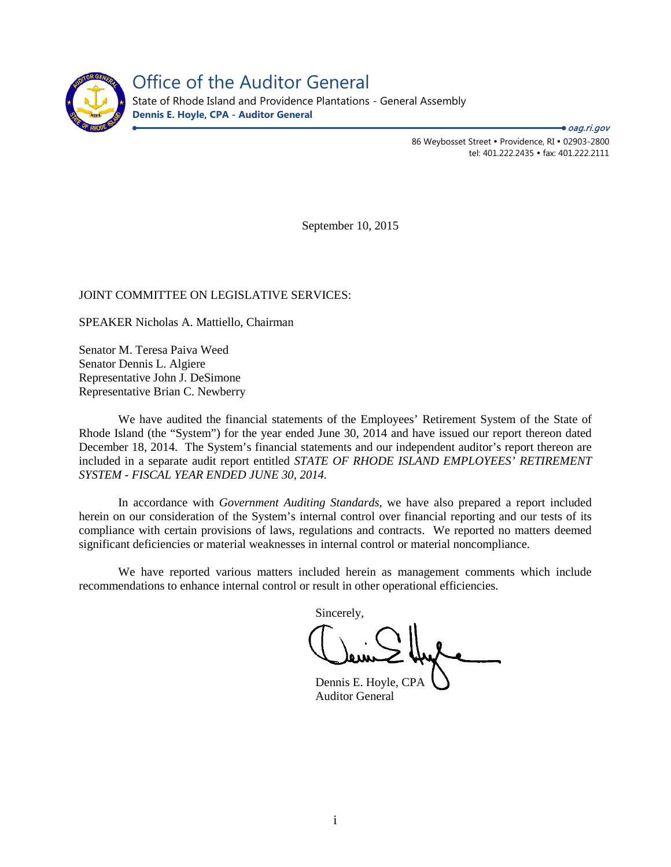

Office of the Auditor General State of Rhode Island and Providence Plantations - General Assembly **Dennis E. Hoyle, CPA - Auditor General**

> 86 Weybosset Street • Providence, RI • 02903-2800 tel: 401.222.2435 · fax: 401.222.2111 ● *oag.ri.gov*

September 10, 2015

## JOINT COMMITTEE ON LEGISLATIVE SERVICES:

SPEAKER Nicholas A. Mattiello, Chairman

Senator M. Teresa Paiva Weed Senator Dennis L. Algiere Representative John J. DeSimone Representative Brian C. Newberry

We have audited the financial statements of the Employees' Retirement System of the State of Rhode Island (the "System") for the year ended June 30, 2014 and have issued our report thereon dated December 18, 2014. The System's financial statements and our independent auditor's report thereon are included in a separate audit report entitled *STATE OF RHODE ISLAND EMPLOYEES' RETIREMENT SYSTEM - FISCAL YEAR ENDED JUNE 30, 2014.* 

In accordance with *Government Auditing Standards*, we have also prepared a report included herein on our consideration of the System's internal control over financial reporting and our tests of its compliance with certain provisions of laws, regulations and contracts. We reported no matters deemed significant deficiencies or material weaknesses in internal control or material noncompliance.

We have reported various matters included herein as management comments which include recommendations to enhance internal control or result in other operational efficiencies.

Sincerely,

Dennis E. Hoyle, CPA Auditor General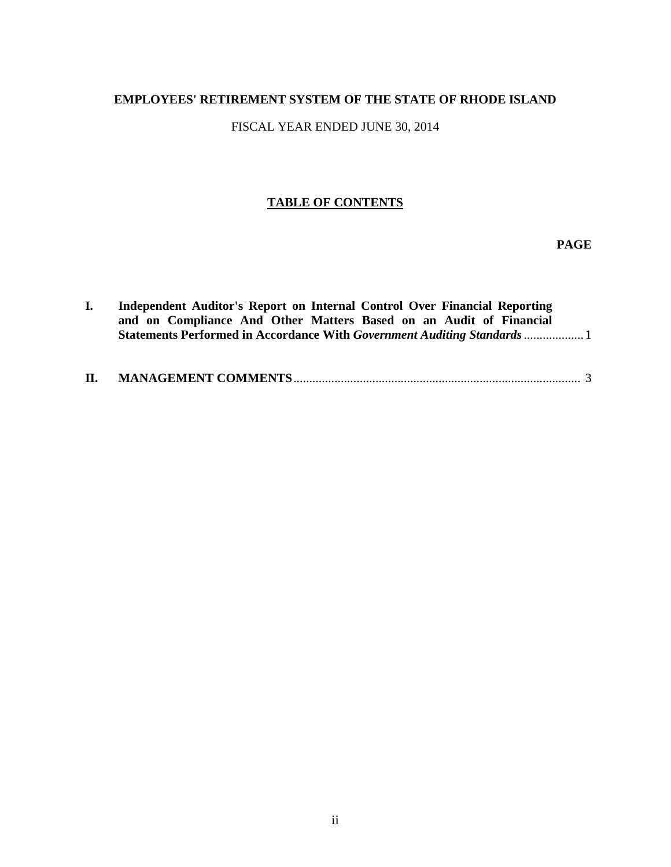# **EMPLOYEES' RETIREMENT SYSTEM OF THE STATE OF RHODE ISLAND**

FISCAL YEAR ENDED JUNE 30, 2014

## **TABLE OF CONTENTS**

**PAGE**

| $\mathbf{L}$<br>H. | Independent Auditor's Report on Internal Control Over Financial Reporting<br>and on Compliance And Other Matters Based on an Audit of Financial<br><b>Statements Performed in Accordance With Government Auditing Standards </b> |  |
|--------------------|----------------------------------------------------------------------------------------------------------------------------------------------------------------------------------------------------------------------------------|--|
|                    |                                                                                                                                                                                                                                  |  |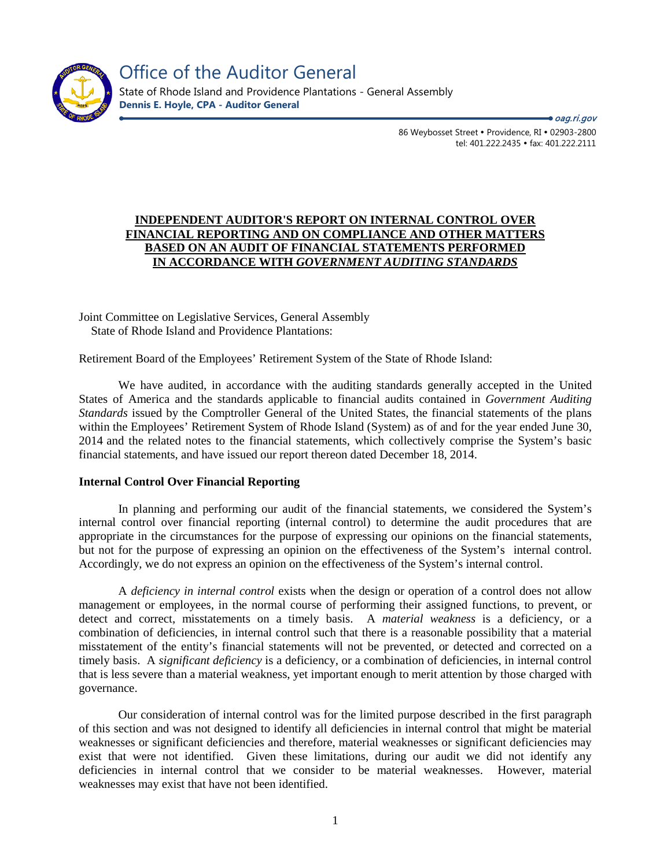

Office of the Auditor General State of Rhode Island and Providence Plantations - General Assembly **Dennis E. Hoyle, CPA - Auditor General**

● *oag.ri.gov* 

86 Weybosset Street · Providence, RI · 02903-2800 tel: 401.222.2435 · fax: 401.222.2111

## **INDEPENDENT AUDITOR'S REPORT ON INTERNAL CONTROL OVER FINANCIAL REPORTING AND ON COMPLIANCE AND OTHER MATTERS BASED ON AN AUDIT OF FINANCIAL STATEMENTS PERFORMED IN ACCORDANCE WITH** *GOVERNMENT AUDITING STANDARDS*

Joint Committee on Legislative Services, General Assembly State of Rhode Island and Providence Plantations:

Retirement Board of the Employees' Retirement System of the State of Rhode Island:

We have audited, in accordance with the auditing standards generally accepted in the United States of America and the standards applicable to financial audits contained in *Government Auditing Standards* issued by the Comptroller General of the United States, the financial statements of the plans within the Employees' Retirement System of Rhode Island (System) as of and for the year ended June 30, 2014 and the related notes to the financial statements, which collectively comprise the System's basic financial statements, and have issued our report thereon dated December 18, 2014.

## **Internal Control Over Financial Reporting**

In planning and performing our audit of the financial statements, we considered the System's internal control over financial reporting (internal control) to determine the audit procedures that are appropriate in the circumstances for the purpose of expressing our opinions on the financial statements, but not for the purpose of expressing an opinion on the effectiveness of the System's internal control. Accordingly, we do not express an opinion on the effectiveness of the System's internal control.

A *deficiency in internal control* exists when the design or operation of a control does not allow management or employees, in the normal course of performing their assigned functions, to prevent, or detect and correct, misstatements on a timely basis. A *material weakness* is a deficiency, or a combination of deficiencies, in internal control such that there is a reasonable possibility that a material misstatement of the entity's financial statements will not be prevented, or detected and corrected on a timely basis. A *significant deficiency* is a deficiency, or a combination of deficiencies, in internal control that is less severe than a material weakness, yet important enough to merit attention by those charged with governance.

Our consideration of internal control was for the limited purpose described in the first paragraph of this section and was not designed to identify all deficiencies in internal control that might be material weaknesses or significant deficiencies and therefore, material weaknesses or significant deficiencies may exist that were not identified. Given these limitations, during our audit we did not identify any deficiencies in internal control that we consider to be material weaknesses. However, material weaknesses may exist that have not been identified.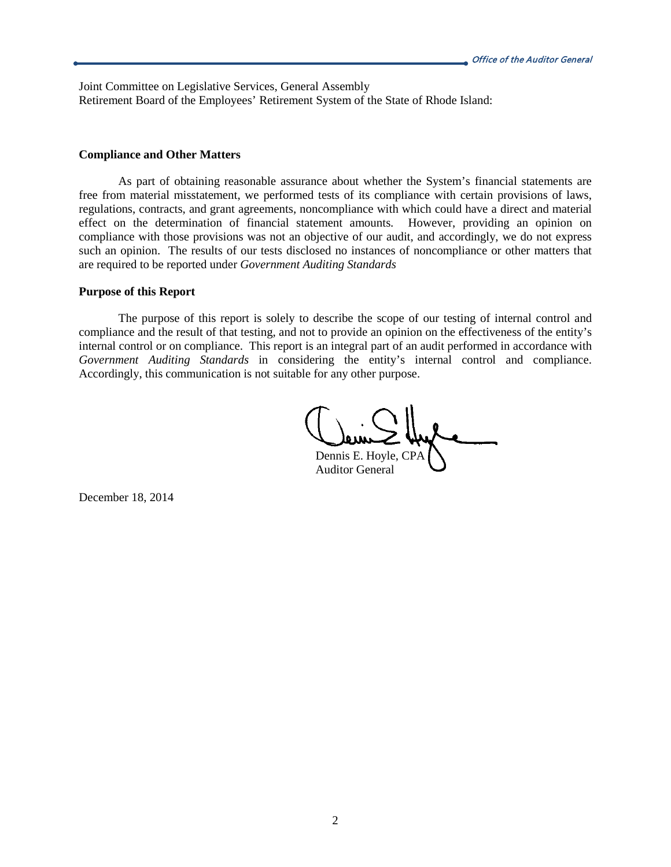Joint Committee on Legislative Services, General Assembly Retirement Board of the Employees' Retirement System of the State of Rhode Island:

#### **Compliance and Other Matters**

As part of obtaining reasonable assurance about whether the System's financial statements are free from material misstatement, we performed tests of its compliance with certain provisions of laws, regulations, contracts, and grant agreements, noncompliance with which could have a direct and material effect on the determination of financial statement amounts. However, providing an opinion on compliance with those provisions was not an objective of our audit, and accordingly, we do not express such an opinion. The results of our tests disclosed no instances of noncompliance or other matters that are required to be reported under *Government Auditing Standards*

#### **Purpose of this Report**

The purpose of this report is solely to describe the scope of our testing of internal control and compliance and the result of that testing, and not to provide an opinion on the effectiveness of the entity's internal control or on compliance. This report is an integral part of an audit performed in accordance with *Government Auditing Standards* in considering the entity's internal control and compliance. Accordingly, this communication is not suitable for any other purpose.

Dennis E. Hoyle, CPA Auditor General

December 18, 2014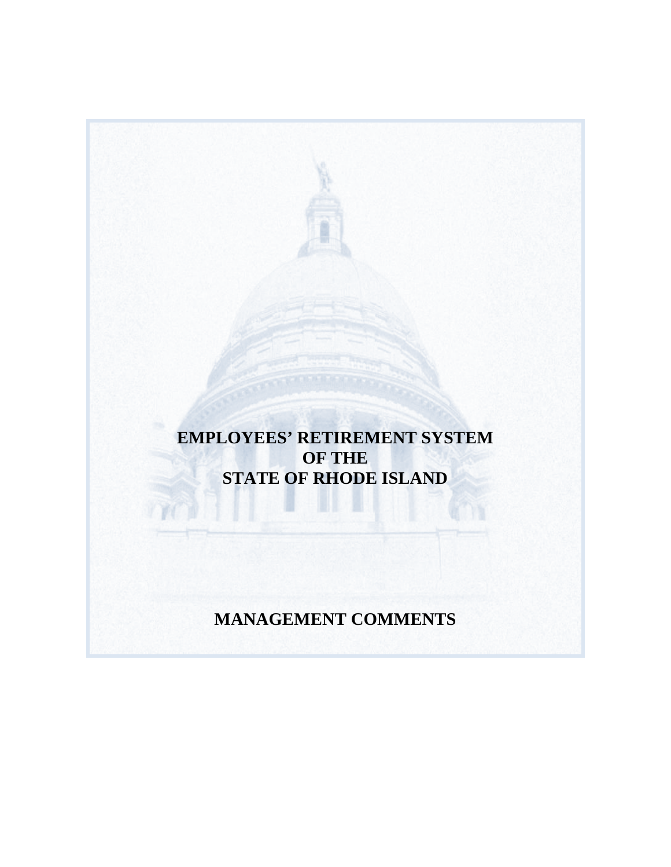**EMPLOYEES' RETIREMENT SYSTEM OF THE STATE OF RHODE ISLAND**

**MANAGEMENT COMMENTS**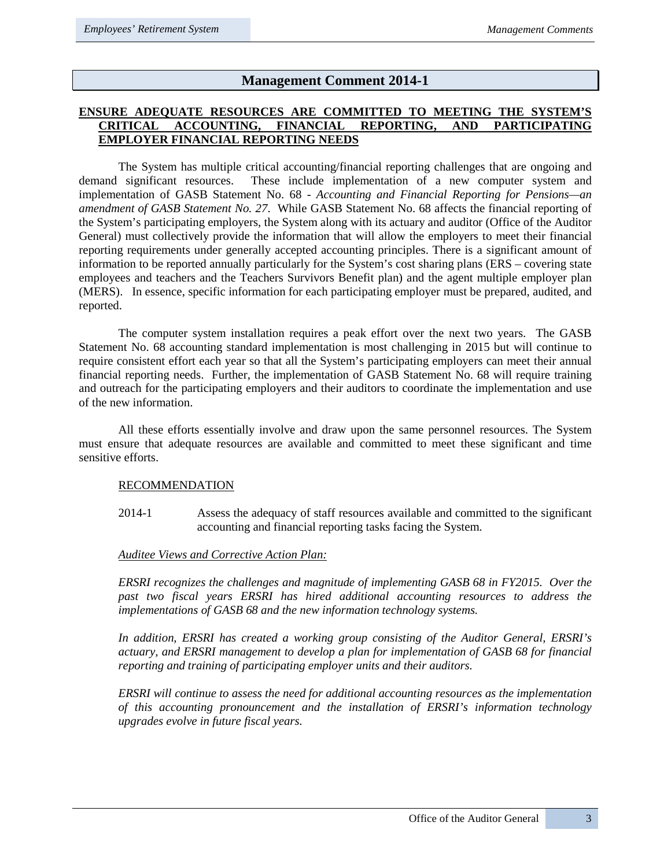## **Management Comment 2014-1**

## **ENSURE ADEQUATE RESOURCES ARE COMMITTED TO MEETING THE SYSTEM'S CRITICAL ACCOUNTING, FINANCIAL REPORTING, AND PARTICIPATING EMPLOYER FINANCIAL REPORTING NEEDS**

The System has multiple critical accounting/financial reporting challenges that are ongoing and demand significant resources. These include implementation of a new computer system and implementation of GASB Statement No. 68 - *Accounting and Financial Reporting for Pensions—an amendment of GASB Statement No. 27*. While GASB Statement No. 68 affects the financial reporting of the System's participating employers, the System along with its actuary and auditor (Office of the Auditor General) must collectively provide the information that will allow the employers to meet their financial reporting requirements under generally accepted accounting principles. There is a significant amount of information to be reported annually particularly for the System's cost sharing plans (ERS – covering state employees and teachers and the Teachers Survivors Benefit plan) and the agent multiple employer plan (MERS). In essence, specific information for each participating employer must be prepared, audited, and reported.

The computer system installation requires a peak effort over the next two years. The GASB Statement No. 68 accounting standard implementation is most challenging in 2015 but will continue to require consistent effort each year so that all the System's participating employers can meet their annual financial reporting needs. Further, the implementation of GASB Statement No. 68 will require training and outreach for the participating employers and their auditors to coordinate the implementation and use of the new information.

All these efforts essentially involve and draw upon the same personnel resources. The System must ensure that adequate resources are available and committed to meet these significant and time sensitive efforts.

## RECOMMENDATION

2014-1 Assess the adequacy of staff resources available and committed to the significant accounting and financial reporting tasks facing the System.

## *Auditee Views and Corrective Action Plan:*

*ERSRI recognizes the challenges and magnitude of implementing GASB 68 in FY2015. Over the past two fiscal years ERSRI has hired additional accounting resources to address the implementations of GASB 68 and the new information technology systems.* 

*In addition, ERSRI has created a working group consisting of the Auditor General, ERSRI's actuary, and ERSRI management to develop a plan for implementation of GASB 68 for financial reporting and training of participating employer units and their auditors.* 

*ERSRI will continue to assess the need for additional accounting resources as the implementation of this accounting pronouncement and the installation of ERSRI's information technology upgrades evolve in future fiscal years.*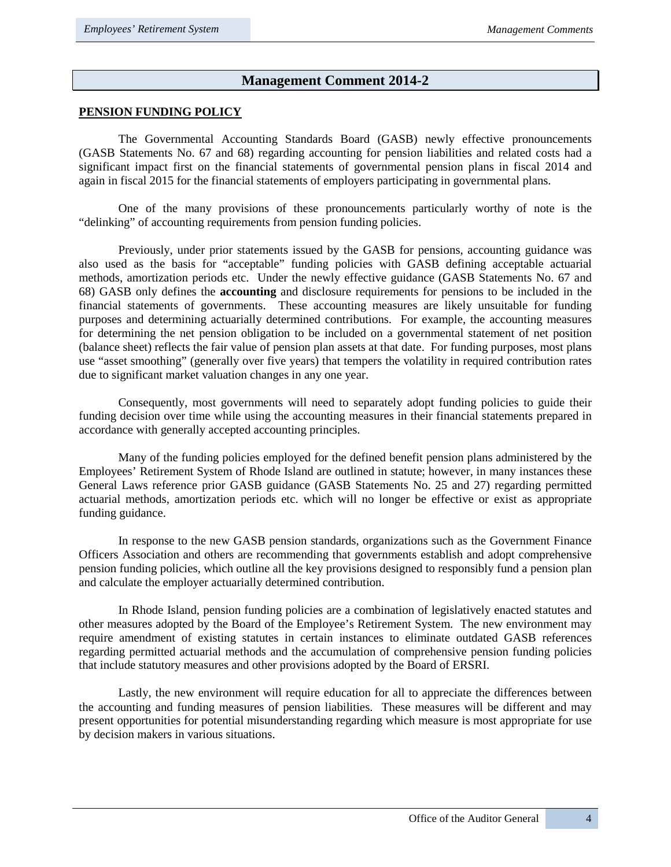## **Management Comment 2014-2**

### **PENSION FUNDING POLICY**

The Governmental Accounting Standards Board (GASB) newly effective pronouncements (GASB Statements No. 67 and 68) regarding accounting for pension liabilities and related costs had a significant impact first on the financial statements of governmental pension plans in fiscal 2014 and again in fiscal 2015 for the financial statements of employers participating in governmental plans.

One of the many provisions of these pronouncements particularly worthy of note is the "delinking" of accounting requirements from pension funding policies.

Previously, under prior statements issued by the GASB for pensions, accounting guidance was also used as the basis for "acceptable" funding policies with GASB defining acceptable actuarial methods, amortization periods etc. Under the newly effective guidance (GASB Statements No. 67 and 68) GASB only defines the **accounting** and disclosure requirements for pensions to be included in the financial statements of governments. These accounting measures are likely unsuitable for funding purposes and determining actuarially determined contributions. For example, the accounting measures for determining the net pension obligation to be included on a governmental statement of net position (balance sheet) reflects the fair value of pension plan assets at that date. For funding purposes, most plans use "asset smoothing" (generally over five years) that tempers the volatility in required contribution rates due to significant market valuation changes in any one year.

Consequently, most governments will need to separately adopt funding policies to guide their funding decision over time while using the accounting measures in their financial statements prepared in accordance with generally accepted accounting principles.

Many of the funding policies employed for the defined benefit pension plans administered by the Employees' Retirement System of Rhode Island are outlined in statute; however, in many instances these General Laws reference prior GASB guidance (GASB Statements No. 25 and 27) regarding permitted actuarial methods, amortization periods etc. which will no longer be effective or exist as appropriate funding guidance.

In response to the new GASB pension standards, organizations such as the Government Finance Officers Association and others are recommending that governments establish and adopt comprehensive pension funding policies, which outline all the key provisions designed to responsibly fund a pension plan and calculate the employer actuarially determined contribution.

In Rhode Island, pension funding policies are a combination of legislatively enacted statutes and other measures adopted by the Board of the Employee's Retirement System. The new environment may require amendment of existing statutes in certain instances to eliminate outdated GASB references regarding permitted actuarial methods and the accumulation of comprehensive pension funding policies that include statutory measures and other provisions adopted by the Board of ERSRI.

Lastly, the new environment will require education for all to appreciate the differences between the accounting and funding measures of pension liabilities. These measures will be different and may present opportunities for potential misunderstanding regarding which measure is most appropriate for use by decision makers in various situations.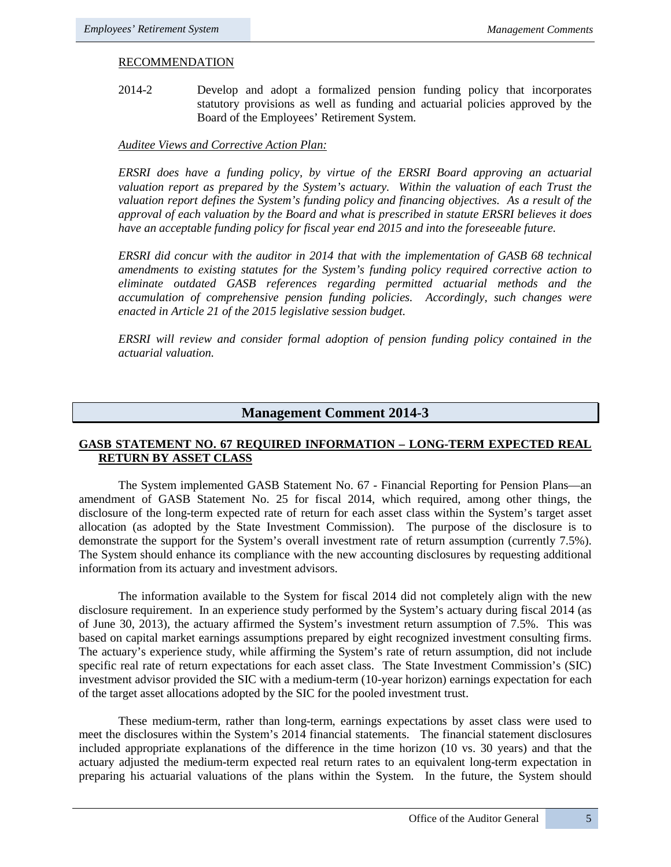## RECOMMENDATION

2014-2 Develop and adopt a formalized pension funding policy that incorporates statutory provisions as well as funding and actuarial policies approved by the Board of the Employees' Retirement System.

### *Auditee Views and Corrective Action Plan:*

*ERSRI does have a funding policy, by virtue of the ERSRI Board approving an actuarial valuation report as prepared by the System's actuary. Within the valuation of each Trust the valuation report defines the System's funding policy and financing objectives. As a result of the approval of each valuation by the Board and what is prescribed in statute ERSRI believes it does have an acceptable funding policy for fiscal year end 2015 and into the foreseeable future.* 

*ERSRI did concur with the auditor in 2014 that with the implementation of GASB 68 technical amendments to existing statutes for the System's funding policy required corrective action to eliminate outdated GASB references regarding permitted actuarial methods and the accumulation of comprehensive pension funding policies. Accordingly, such changes were enacted in Article 21 of the 2015 legislative session budget.* 

*ERSRI will review and consider formal adoption of pension funding policy contained in the actuarial valuation.*

## **Management Comment 2014-3**

## **GASB STATEMENT NO. 67 REQUIRED INFORMATION – LONG-TERM EXPECTED REAL RETURN BY ASSET CLASS**

The System implemented GASB Statement No. 67 - Financial Reporting for Pension Plans—an amendment of GASB Statement No. 25 for fiscal 2014, which required, among other things, the disclosure of the long-term expected rate of return for each asset class within the System's target asset allocation (as adopted by the State Investment Commission). The purpose of the disclosure is to demonstrate the support for the System's overall investment rate of return assumption (currently 7.5%). The System should enhance its compliance with the new accounting disclosures by requesting additional information from its actuary and investment advisors.

The information available to the System for fiscal 2014 did not completely align with the new disclosure requirement. In an experience study performed by the System's actuary during fiscal 2014 (as of June 30, 2013), the actuary affirmed the System's investment return assumption of 7.5%. This was based on capital market earnings assumptions prepared by eight recognized investment consulting firms. The actuary's experience study, while affirming the System's rate of return assumption, did not include specific real rate of return expectations for each asset class. The State Investment Commission's (SIC) investment advisor provided the SIC with a medium-term (10-year horizon) earnings expectation for each of the target asset allocations adopted by the SIC for the pooled investment trust.

These medium-term, rather than long-term, earnings expectations by asset class were used to meet the disclosures within the System's 2014 financial statements. The financial statement disclosures included appropriate explanations of the difference in the time horizon (10 vs. 30 years) and that the actuary adjusted the medium-term expected real return rates to an equivalent long-term expectation in preparing his actuarial valuations of the plans within the System. In the future, the System should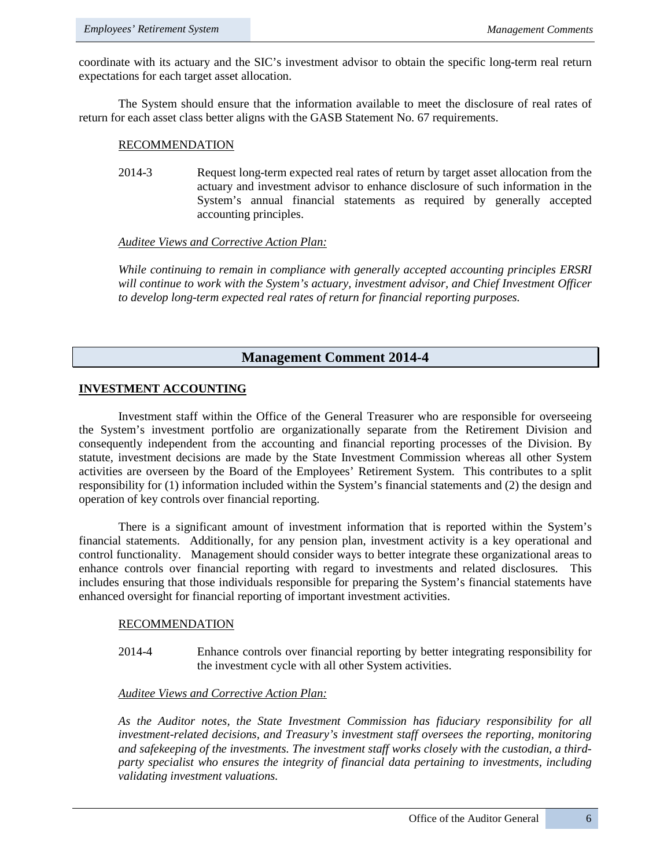coordinate with its actuary and the SIC's investment advisor to obtain the specific long-term real return expectations for each target asset allocation.

The System should ensure that the information available to meet the disclosure of real rates of return for each asset class better aligns with the GASB Statement No. 67 requirements.

#### RECOMMENDATION

2014-3 Request long-term expected real rates of return by target asset allocation from the actuary and investment advisor to enhance disclosure of such information in the System's annual financial statements as required by generally accepted accounting principles.

#### *Auditee Views and Corrective Action Plan:*

*While continuing to remain in compliance with generally accepted accounting principles ERSRI will continue to work with the System's actuary, investment advisor, and Chief Investment Officer to develop long-term expected real rates of return for financial reporting purposes.* 

## **Management Comment 2014-4**

### **INVESTMENT ACCOUNTING**

Investment staff within the Office of the General Treasurer who are responsible for overseeing the System's investment portfolio are organizationally separate from the Retirement Division and consequently independent from the accounting and financial reporting processes of the Division. By statute, investment decisions are made by the State Investment Commission whereas all other System activities are overseen by the Board of the Employees' Retirement System. This contributes to a split responsibility for (1) information included within the System's financial statements and (2) the design and operation of key controls over financial reporting.

There is a significant amount of investment information that is reported within the System's financial statements. Additionally, for any pension plan, investment activity is a key operational and control functionality. Management should consider ways to better integrate these organizational areas to enhance controls over financial reporting with regard to investments and related disclosures. This includes ensuring that those individuals responsible for preparing the System's financial statements have enhanced oversight for financial reporting of important investment activities.

#### RECOMMENDATION

2014-4 Enhance controls over financial reporting by better integrating responsibility for the investment cycle with all other System activities.

#### *Auditee Views and Corrective Action Plan:*

*As the Auditor notes, the State Investment Commission has fiduciary responsibility for all investment-related decisions, and Treasury's investment staff oversees the reporting, monitoring and safekeeping of the investments. The investment staff works closely with the custodian, a thirdparty specialist who ensures the integrity of financial data pertaining to investments, including validating investment valuations.*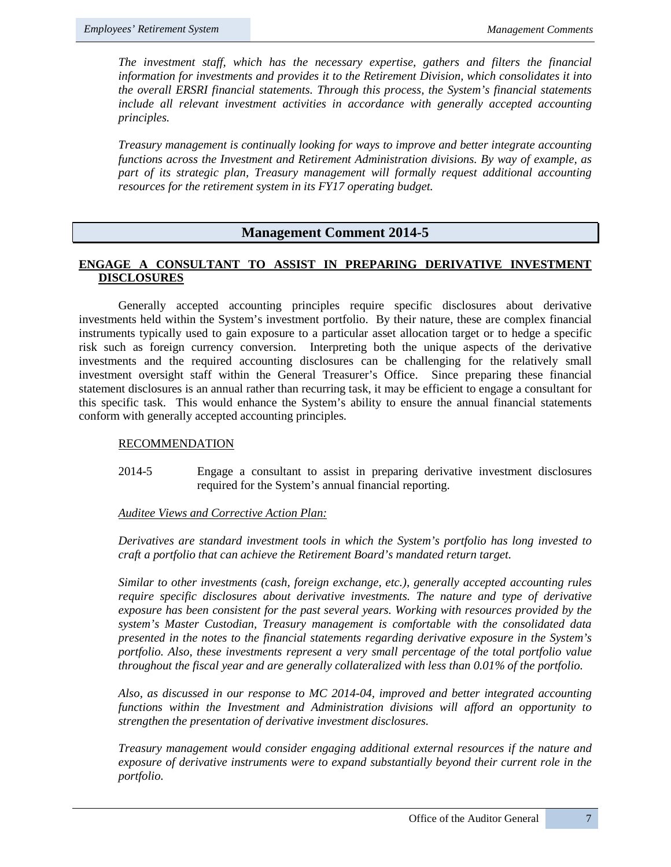*The investment staff, which has the necessary expertise, gathers and filters the financial information for investments and provides it to the Retirement Division, which consolidates it into the overall ERSRI financial statements. Through this process, the System's financial statements include all relevant investment activities in accordance with generally accepted accounting principles.*

*Treasury management is continually looking for ways to improve and better integrate accounting functions across the Investment and Retirement Administration divisions. By way of example, as part of its strategic plan, Treasury management will formally request additional accounting resources for the retirement system in its FY17 operating budget.* 

## **Management Comment 2014-5**

## **ENGAGE A CONSULTANT TO ASSIST IN PREPARING DERIVATIVE INVESTMENT DISCLOSURES**

Generally accepted accounting principles require specific disclosures about derivative investments held within the System's investment portfolio. By their nature, these are complex financial instruments typically used to gain exposure to a particular asset allocation target or to hedge a specific risk such as foreign currency conversion. Interpreting both the unique aspects of the derivative investments and the required accounting disclosures can be challenging for the relatively small investment oversight staff within the General Treasurer's Office. Since preparing these financial statement disclosures is an annual rather than recurring task, it may be efficient to engage a consultant for this specific task. This would enhance the System's ability to ensure the annual financial statements conform with generally accepted accounting principles.

#### RECOMMENDATION

2014-5 Engage a consultant to assist in preparing derivative investment disclosures required for the System's annual financial reporting.

#### *Auditee Views and Corrective Action Plan:*

*Derivatives are standard investment tools in which the System's portfolio has long invested to craft a portfolio that can achieve the Retirement Board's mandated return target.* 

*Similar to other investments (cash, foreign exchange, etc.), generally accepted accounting rules require specific disclosures about derivative investments. The nature and type of derivative exposure has been consistent for the past several years. Working with resources provided by the system's Master Custodian, Treasury management is comfortable with the consolidated data presented in the notes to the financial statements regarding derivative exposure in the System's portfolio. Also, these investments represent a very small percentage of the total portfolio value throughout the fiscal year and are generally collateralized with less than 0.01% of the portfolio.* 

*Also, as discussed in our response to MC 2014-04, improved and better integrated accounting functions within the Investment and Administration divisions will afford an opportunity to strengthen the presentation of derivative investment disclosures.* 

*Treasury management would consider engaging additional external resources if the nature and exposure of derivative instruments were to expand substantially beyond their current role in the portfolio.*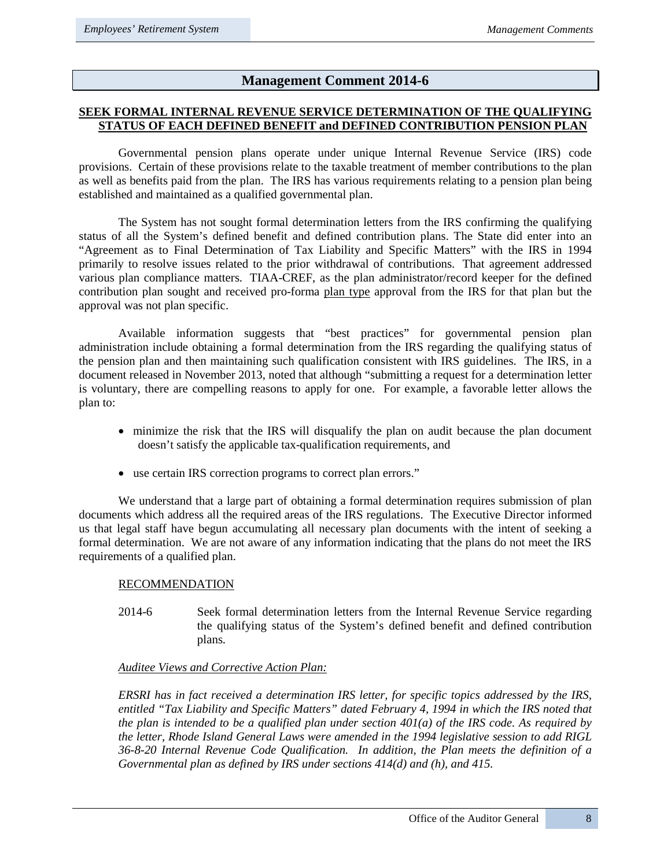## **Management Comment 2014-6**

## **SEEK FORMAL INTERNAL REVENUE SERVICE DETERMINATION OF THE QUALIFYING STATUS OF EACH DEFINED BENEFIT and DEFINED CONTRIBUTION PENSION PLAN**

Governmental pension plans operate under unique Internal Revenue Service (IRS) code provisions. Certain of these provisions relate to the taxable treatment of member contributions to the plan as well as benefits paid from the plan. The IRS has various requirements relating to a pension plan being established and maintained as a qualified governmental plan.

The System has not sought formal determination letters from the IRS confirming the qualifying status of all the System's defined benefit and defined contribution plans. The State did enter into an "Agreement as to Final Determination of Tax Liability and Specific Matters" with the IRS in 1994 primarily to resolve issues related to the prior withdrawal of contributions. That agreement addressed various plan compliance matters. TIAA-CREF, as the plan administrator/record keeper for the defined contribution plan sought and received pro-forma plan type approval from the IRS for that plan but the approval was not plan specific.

Available information suggests that "best practices" for governmental pension plan administration include obtaining a formal determination from the IRS regarding the qualifying status of the pension plan and then maintaining such qualification consistent with IRS guidelines. The IRS, in a document released in November 2013, noted that although "submitting a request for a determination letter is voluntary, there are compelling reasons to apply for one. For example, a favorable letter allows the plan to:

- minimize the risk that the IRS will disqualify the plan on audit because the plan document doesn't satisfy the applicable tax-qualification requirements, and
- use certain IRS correction programs to correct plan errors."

We understand that a large part of obtaining a formal determination requires submission of plan documents which address all the required areas of the IRS regulations. The Executive Director informed us that legal staff have begun accumulating all necessary plan documents with the intent of seeking a formal determination. We are not aware of any information indicating that the plans do not meet the IRS requirements of a qualified plan.

#### RECOMMENDATION

2014-6 Seek formal determination letters from the Internal Revenue Service regarding the qualifying status of the System's defined benefit and defined contribution plans.

#### *Auditee Views and Corrective Action Plan:*

*ERSRI has in fact received a determination IRS letter, for specific topics addressed by the IRS, entitled "Tax Liability and Specific Matters" dated February 4, 1994 in which the IRS noted that the plan is intended to be a qualified plan under section 401(a) of the IRS code. As required by the letter, Rhode Island General Laws were amended in the 1994 legislative session to add RIGL 36-8-20 Internal Revenue Code Qualification. In addition, the Plan meets the definition of a Governmental plan as defined by IRS under sections 414(d) and (h), and 415.*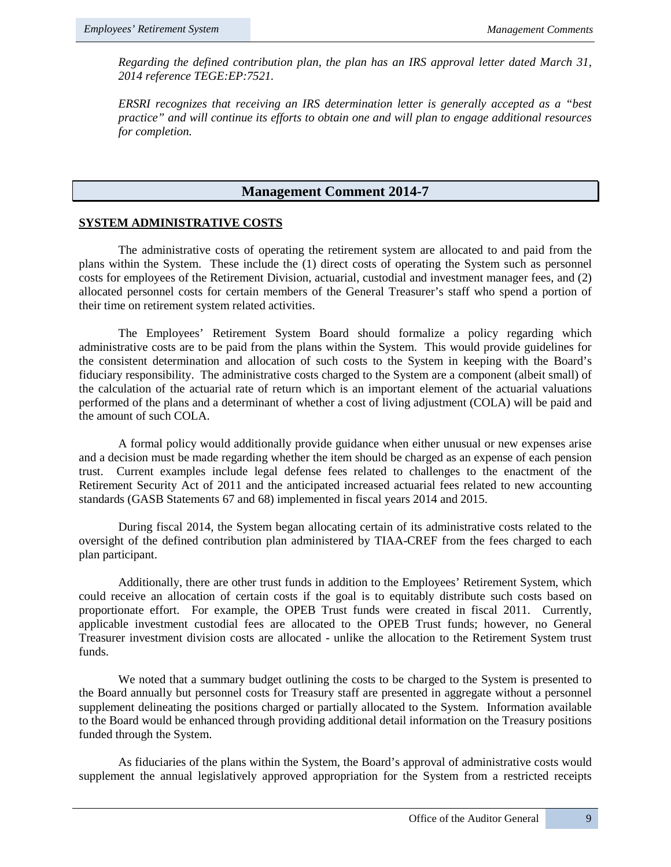*Regarding the defined contribution plan, the plan has an IRS approval letter dated March 31, 2014 reference TEGE:EP:7521.*

*ERSRI recognizes that receiving an IRS determination letter is generally accepted as a "best practice" and will continue its efforts to obtain one and will plan to engage additional resources for completion.* 

## **Management Comment 2014-7**

## **SYSTEM ADMINISTRATIVE COSTS**

The administrative costs of operating the retirement system are allocated to and paid from the plans within the System. These include the (1) direct costs of operating the System such as personnel costs for employees of the Retirement Division, actuarial, custodial and investment manager fees, and (2) allocated personnel costs for certain members of the General Treasurer's staff who spend a portion of their time on retirement system related activities.

The Employees' Retirement System Board should formalize a policy regarding which administrative costs are to be paid from the plans within the System. This would provide guidelines for the consistent determination and allocation of such costs to the System in keeping with the Board's fiduciary responsibility. The administrative costs charged to the System are a component (albeit small) of the calculation of the actuarial rate of return which is an important element of the actuarial valuations performed of the plans and a determinant of whether a cost of living adjustment (COLA) will be paid and the amount of such COLA.

A formal policy would additionally provide guidance when either unusual or new expenses arise and a decision must be made regarding whether the item should be charged as an expense of each pension trust. Current examples include legal defense fees related to challenges to the enactment of the Retirement Security Act of 2011 and the anticipated increased actuarial fees related to new accounting standards (GASB Statements 67 and 68) implemented in fiscal years 2014 and 2015.

During fiscal 2014, the System began allocating certain of its administrative costs related to the oversight of the defined contribution plan administered by TIAA-CREF from the fees charged to each plan participant.

Additionally, there are other trust funds in addition to the Employees' Retirement System, which could receive an allocation of certain costs if the goal is to equitably distribute such costs based on proportionate effort. For example, the OPEB Trust funds were created in fiscal 2011. Currently, applicable investment custodial fees are allocated to the OPEB Trust funds; however, no General Treasurer investment division costs are allocated - unlike the allocation to the Retirement System trust funds.

We noted that a summary budget outlining the costs to be charged to the System is presented to the Board annually but personnel costs for Treasury staff are presented in aggregate without a personnel supplement delineating the positions charged or partially allocated to the System. Information available to the Board would be enhanced through providing additional detail information on the Treasury positions funded through the System.

As fiduciaries of the plans within the System, the Board's approval of administrative costs would supplement the annual legislatively approved appropriation for the System from a restricted receipts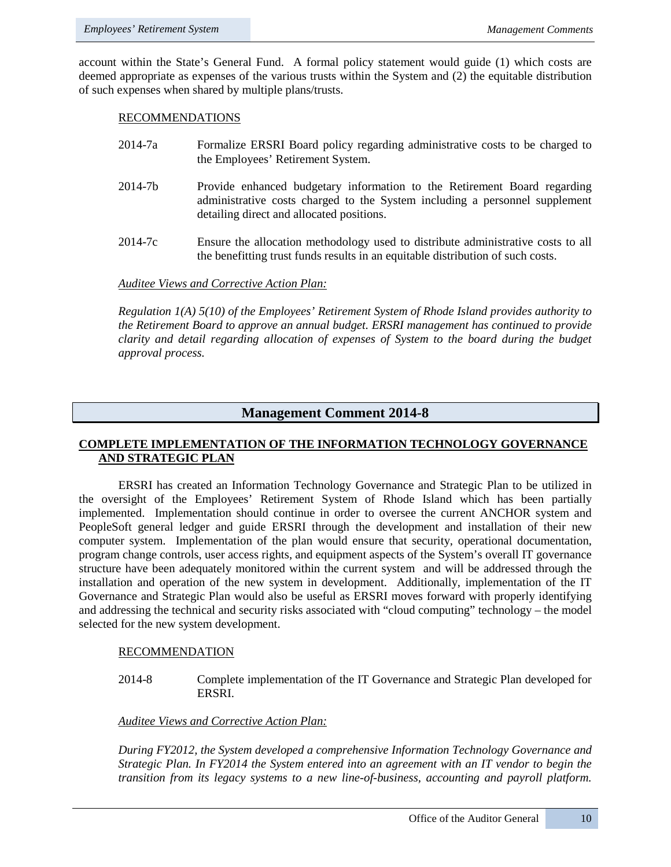account within the State's General Fund. A formal policy statement would guide (1) which costs are deemed appropriate as expenses of the various trusts within the System and (2) the equitable distribution of such expenses when shared by multiple plans/trusts.

#### RECOMMENDATIONS

- 2014-7a Formalize ERSRI Board policy regarding administrative costs to be charged to the Employees' Retirement System.
- 2014-7b Provide enhanced budgetary information to the Retirement Board regarding administrative costs charged to the System including a personnel supplement detailing direct and allocated positions.
- 2014-7c Ensure the allocation methodology used to distribute administrative costs to all the benefitting trust funds results in an equitable distribution of such costs.

### *Auditee Views and Corrective Action Plan:*

*Regulation 1(A) 5(10) of the Employees' Retirement System of Rhode Island provides authority to the Retirement Board to approve an annual budget. ERSRI management has continued to provide clarity and detail regarding allocation of expenses of System to the board during the budget approval process.* 

## **Management Comment 2014-8**

## **COMPLETE IMPLEMENTATION OF THE INFORMATION TECHNOLOGY GOVERNANCE AND STRATEGIC PLAN**

ERSRI has created an Information Technology Governance and Strategic Plan to be utilized in the oversight of the Employees' Retirement System of Rhode Island which has been partially implemented. Implementation should continue in order to oversee the current ANCHOR system and PeopleSoft general ledger and guide ERSRI through the development and installation of their new computer system. Implementation of the plan would ensure that security, operational documentation, program change controls, user access rights, and equipment aspects of the System's overall IT governance structure have been adequately monitored within the current system and will be addressed through the installation and operation of the new system in development. Additionally, implementation of the IT Governance and Strategic Plan would also be useful as ERSRI moves forward with properly identifying and addressing the technical and security risks associated with "cloud computing" technology – the model selected for the new system development.

#### RECOMMENDATION

2014-8 Complete implementation of the IT Governance and Strategic Plan developed for ERSRI.

#### *Auditee Views and Corrective Action Plan:*

*During FY2012, the System developed a comprehensive Information Technology Governance and Strategic Plan. In FY2014 the System entered into an agreement with an IT vendor to begin the transition from its legacy systems to a new line-of-business, accounting and payroll platform.*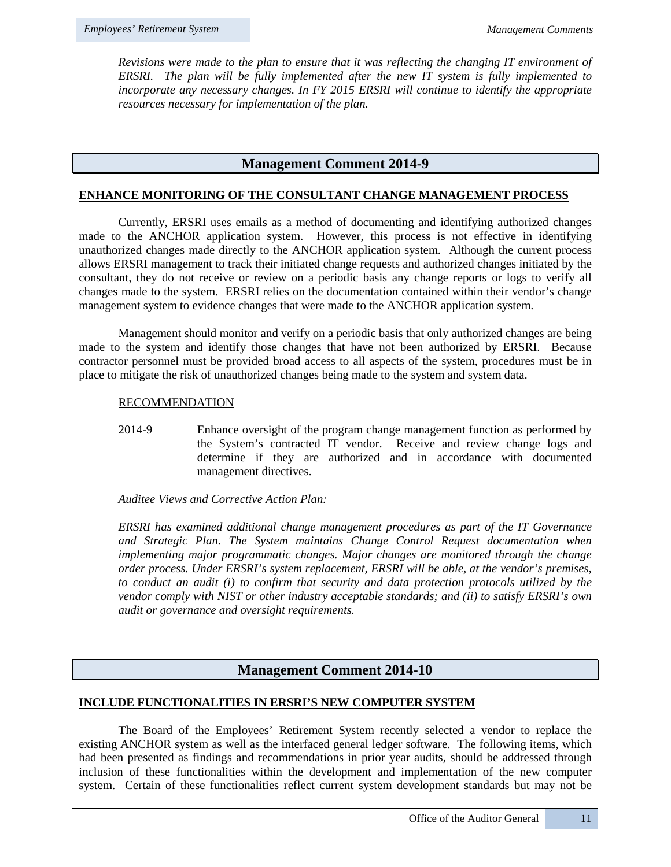*Revisions were made to the plan to ensure that it was reflecting the changing IT environment of ERSRI. The plan will be fully implemented after the new IT system is fully implemented to incorporate any necessary changes. In FY 2015 ERSRI will continue to identify the appropriate resources necessary for implementation of the plan.*

## **Management Comment 2014-9**

### **ENHANCE MONITORING OF THE CONSULTANT CHANGE MANAGEMENT PROCESS**

Currently, ERSRI uses emails as a method of documenting and identifying authorized changes made to the ANCHOR application system. However, this process is not effective in identifying unauthorized changes made directly to the ANCHOR application system. Although the current process allows ERSRI management to track their initiated change requests and authorized changes initiated by the consultant, they do not receive or review on a periodic basis any change reports or logs to verify all changes made to the system. ERSRI relies on the documentation contained within their vendor's change management system to evidence changes that were made to the ANCHOR application system.

Management should monitor and verify on a periodic basis that only authorized changes are being made to the system and identify those changes that have not been authorized by ERSRI. Because contractor personnel must be provided broad access to all aspects of the system, procedures must be in place to mitigate the risk of unauthorized changes being made to the system and system data.

### RECOMMENDATION

2014-9 Enhance oversight of the program change management function as performed by the System's contracted IT vendor. Receive and review change logs and determine if they are authorized and in accordance with documented management directives.

## *Auditee Views and Corrective Action Plan:*

*ERSRI has examined additional change management procedures as part of the IT Governance and Strategic Plan. The System maintains Change Control Request documentation when implementing major programmatic changes. Major changes are monitored through the change order process. Under ERSRI's system replacement, ERSRI will be able, at the vendor's premises, to conduct an audit (i) to confirm that security and data protection protocols utilized by the vendor comply with NIST or other industry acceptable standards; and (ii) to satisfy ERSRI's own audit or governance and oversight requirements.*

## **Management Comment 2014-10**

#### **INCLUDE FUNCTIONALITIES IN ERSRI'S NEW COMPUTER SYSTEM**

The Board of the Employees' Retirement System recently selected a vendor to replace the existing ANCHOR system as well as the interfaced general ledger software. The following items, which had been presented as findings and recommendations in prior year audits, should be addressed through inclusion of these functionalities within the development and implementation of the new computer system. Certain of these functionalities reflect current system development standards but may not be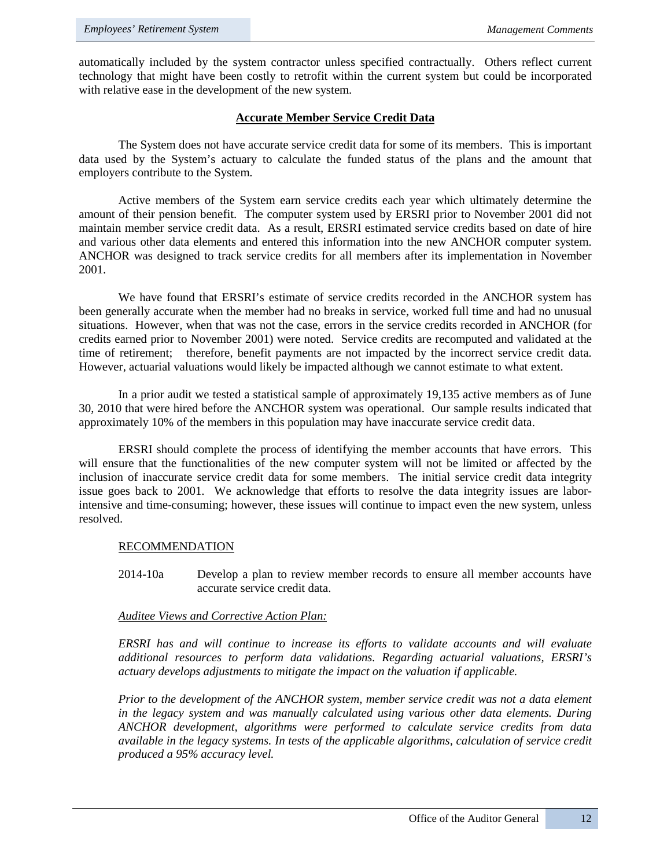automatically included by the system contractor unless specified contractually. Others reflect current technology that might have been costly to retrofit within the current system but could be incorporated with relative ease in the development of the new system.

## **Accurate Member Service Credit Data**

The System does not have accurate service credit data for some of its members. This is important data used by the System's actuary to calculate the funded status of the plans and the amount that employers contribute to the System.

Active members of the System earn service credits each year which ultimately determine the amount of their pension benefit. The computer system used by ERSRI prior to November 2001 did not maintain member service credit data. As a result, ERSRI estimated service credits based on date of hire and various other data elements and entered this information into the new ANCHOR computer system. ANCHOR was designed to track service credits for all members after its implementation in November 2001.

 We have found that ERSRI's estimate of service credits recorded in the ANCHOR system has been generally accurate when the member had no breaks in service, worked full time and had no unusual situations. However, when that was not the case, errors in the service credits recorded in ANCHOR (for credits earned prior to November 2001) were noted. Service credits are recomputed and validated at the time of retirement; therefore, benefit payments are not impacted by the incorrect service credit data. However, actuarial valuations would likely be impacted although we cannot estimate to what extent.

In a prior audit we tested a statistical sample of approximately 19,135 active members as of June 30, 2010 that were hired before the ANCHOR system was operational. Our sample results indicated that approximately 10% of the members in this population may have inaccurate service credit data.

ERSRI should complete the process of identifying the member accounts that have errors. This will ensure that the functionalities of the new computer system will not be limited or affected by the inclusion of inaccurate service credit data for some members. The initial service credit data integrity issue goes back to 2001. We acknowledge that efforts to resolve the data integrity issues are laborintensive and time-consuming; however, these issues will continue to impact even the new system, unless resolved.

#### RECOMMENDATION

2014-10a Develop a plan to review member records to ensure all member accounts have accurate service credit data.

#### *Auditee Views and Corrective Action Plan:*

*ERSRI has and will continue to increase its efforts to validate accounts and will evaluate additional resources to perform data validations. Regarding actuarial valuations, ERSRI's actuary develops adjustments to mitigate the impact on the valuation if applicable.* 

*Prior to the development of the ANCHOR system, member service credit was not a data element in the legacy system and was manually calculated using various other data elements. During ANCHOR development, algorithms were performed to calculate service credits from data available in the legacy systems. In tests of the applicable algorithms, calculation of service credit produced a 95% accuracy level.*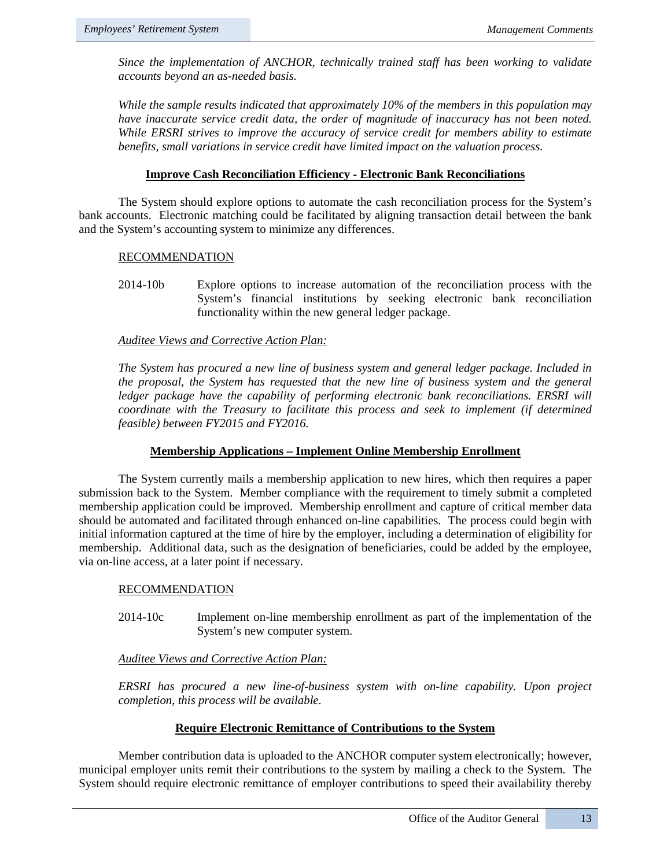*Since the implementation of ANCHOR, technically trained staff has been working to validate accounts beyond an as-needed basis.* 

*While the sample results indicated that approximately 10% of the members in this population may have inaccurate service credit data, the order of magnitude of inaccuracy has not been noted. While ERSRI strives to improve the accuracy of service credit for members ability to estimate benefits, small variations in service credit have limited impact on the valuation process.*

## **Improve Cash Reconciliation Efficiency - Electronic Bank Reconciliations**

The System should explore options to automate the cash reconciliation process for the System's bank accounts. Electronic matching could be facilitated by aligning transaction detail between the bank and the System's accounting system to minimize any differences.

### RECOMMENDATION

2014-10b Explore options to increase automation of the reconciliation process with the System's financial institutions by seeking electronic bank reconciliation functionality within the new general ledger package.

### *Auditee Views and Corrective Action Plan:*

*The System has procured a new line of business system and general ledger package. Included in the proposal, the System has requested that the new line of business system and the general*  ledger package have the capability of performing electronic bank reconciliations. ERSRI will *coordinate with the Treasury to facilitate this process and seek to implement (if determined feasible) between FY2015 and FY2016.* 

## **Membership Applications – Implement Online Membership Enrollment**

The System currently mails a membership application to new hires, which then requires a paper submission back to the System. Member compliance with the requirement to timely submit a completed membership application could be improved. Membership enrollment and capture of critical member data should be automated and facilitated through enhanced on-line capabilities. The process could begin with initial information captured at the time of hire by the employer, including a determination of eligibility for membership. Additional data, such as the designation of beneficiaries, could be added by the employee, via on-line access, at a later point if necessary.

#### RECOMMENDATION

2014-10c Implement on-line membership enrollment as part of the implementation of the System's new computer system.

## *Auditee Views and Corrective Action Plan:*

*ERSRI has procured a new line-of-business system with on-line capability. Upon project completion, this process will be available.* 

## **Require Electronic Remittance of Contributions to the System**

Member contribution data is uploaded to the ANCHOR computer system electronically; however, municipal employer units remit their contributions to the system by mailing a check to the System. The System should require electronic remittance of employer contributions to speed their availability thereby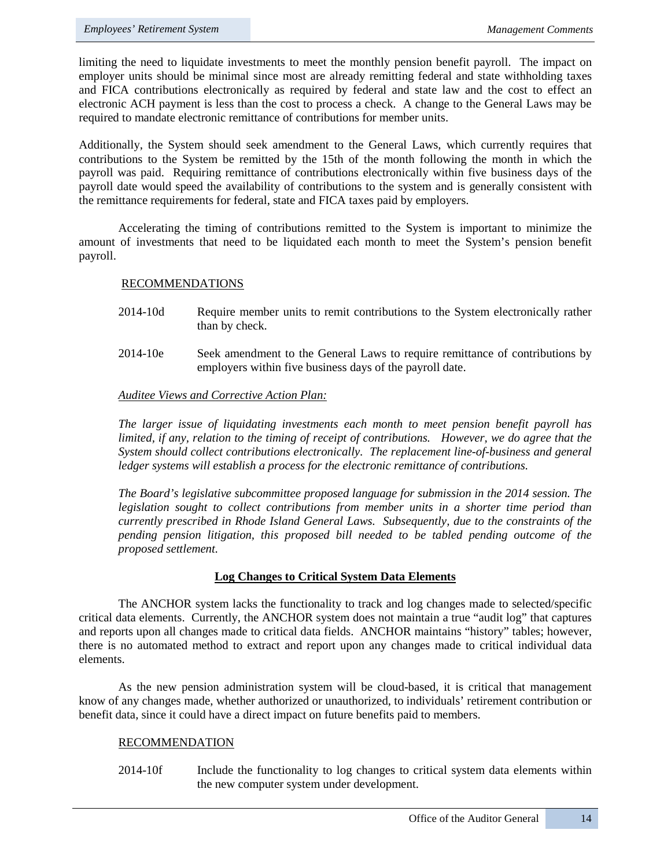limiting the need to liquidate investments to meet the monthly pension benefit payroll. The impact on employer units should be minimal since most are already remitting federal and state withholding taxes and FICA contributions electronically as required by federal and state law and the cost to effect an electronic ACH payment is less than the cost to process a check. A change to the General Laws may be required to mandate electronic remittance of contributions for member units.

Additionally, the System should seek amendment to the General Laws, which currently requires that contributions to the System be remitted by the 15th of the month following the month in which the payroll was paid. Requiring remittance of contributions electronically within five business days of the payroll date would speed the availability of contributions to the system and is generally consistent with the remittance requirements for federal, state and FICA taxes paid by employers.

Accelerating the timing of contributions remitted to the System is important to minimize the amount of investments that need to be liquidated each month to meet the System's pension benefit payroll.

### RECOMMENDATIONS

- 2014-10d Require member units to remit contributions to the System electronically rather than by check.
- 2014-10e Seek amendment to the General Laws to require remittance of contributions by employers within five business days of the payroll date.

### *Auditee Views and Corrective Action Plan:*

*The larger issue of liquidating investments each month to meet pension benefit payroll has limited, if any, relation to the timing of receipt of contributions. However, we do agree that the System should collect contributions electronically. The replacement line-of-business and general ledger systems will establish a process for the electronic remittance of contributions.* 

*The Board's legislative subcommittee proposed language for submission in the 2014 session. The legislation sought to collect contributions from member units in a shorter time period than currently prescribed in Rhode Island General Laws. Subsequently, due to the constraints of the pending pension litigation, this proposed bill needed to be tabled pending outcome of the proposed settlement.* 

#### **Log Changes to Critical System Data Elements**

The ANCHOR system lacks the functionality to track and log changes made to selected/specific critical data elements. Currently, the ANCHOR system does not maintain a true "audit log" that captures and reports upon all changes made to critical data fields. ANCHOR maintains "history" tables; however, there is no automated method to extract and report upon any changes made to critical individual data elements.

As the new pension administration system will be cloud-based, it is critical that management know of any changes made, whether authorized or unauthorized, to individuals' retirement contribution or benefit data, since it could have a direct impact on future benefits paid to members.

#### RECOMMENDATION

2014-10f Include the functionality to log changes to critical system data elements within the new computer system under development.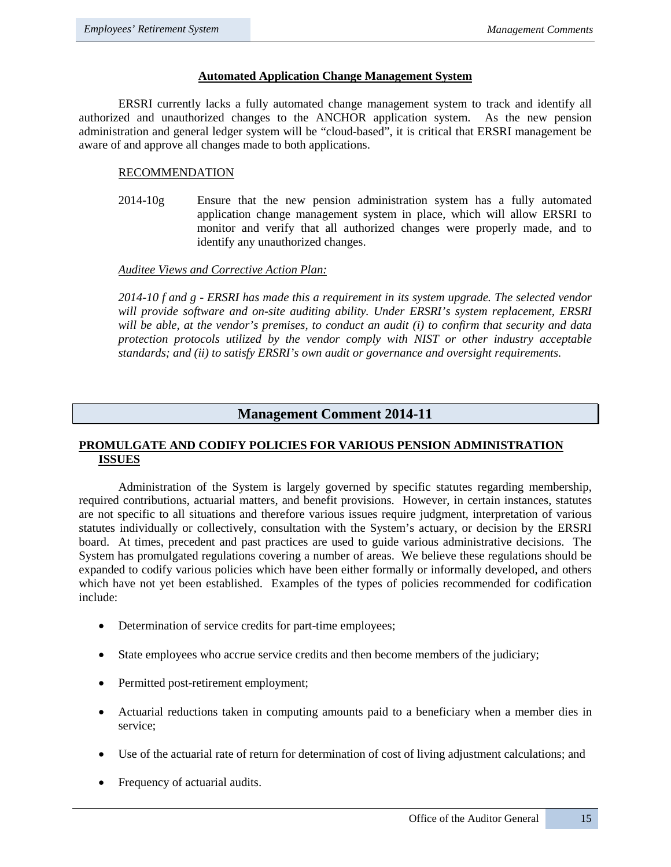## **Automated Application Change Management System**

ERSRI currently lacks a fully automated change management system to track and identify all authorized and unauthorized changes to the ANCHOR application system. As the new pension administration and general ledger system will be "cloud-based", it is critical that ERSRI management be aware of and approve all changes made to both applications.

## RECOMMENDATION

2014-10g Ensure that the new pension administration system has a fully automated application change management system in place, which will allow ERSRI to monitor and verify that all authorized changes were properly made, and to identify any unauthorized changes.

### *Auditee Views and Corrective Action Plan:*

*2014-10 f and g - ERSRI has made this a requirement in its system upgrade. The selected vendor will provide software and on-site auditing ability. Under ERSRI's system replacement, ERSRI will be able, at the vendor's premises, to conduct an audit (i) to confirm that security and data protection protocols utilized by the vendor comply with NIST or other industry acceptable standards; and (ii) to satisfy ERSRI's own audit or governance and oversight requirements.*

## **Management Comment 2014-11**

## **PROMULGATE AND CODIFY POLICIES FOR VARIOUS PENSION ADMINISTRATION ISSUES**

Administration of the System is largely governed by specific statutes regarding membership, required contributions, actuarial matters, and benefit provisions. However, in certain instances, statutes are not specific to all situations and therefore various issues require judgment, interpretation of various statutes individually or collectively, consultation with the System's actuary, or decision by the ERSRI board. At times, precedent and past practices are used to guide various administrative decisions. The System has promulgated regulations covering a number of areas. We believe these regulations should be expanded to codify various policies which have been either formally or informally developed, and others which have not yet been established. Examples of the types of policies recommended for codification include:

- Determination of service credits for part-time employees;
- State employees who accrue service credits and then become members of the judiciary;
- Permitted post-retirement employment;
- Actuarial reductions taken in computing amounts paid to a beneficiary when a member dies in service;
- Use of the actuarial rate of return for determination of cost of living adjustment calculations; and
- Frequency of actuarial audits.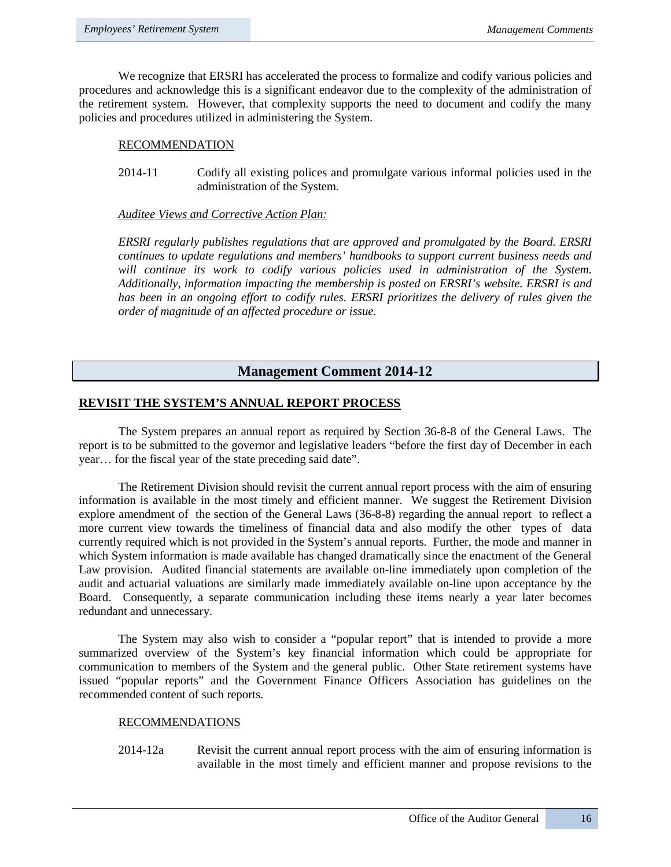We recognize that ERSRI has accelerated the process to formalize and codify various policies and procedures and acknowledge this is a significant endeavor due to the complexity of the administration of the retirement system. However, that complexity supports the need to document and codify the many policies and procedures utilized in administering the System.

### RECOMMENDATION

2014-11 Codify all existing polices and promulgate various informal policies used in the administration of the System.

#### *Auditee Views and Corrective Action Plan:*

*ERSRI regularly publishes regulations that are approved and promulgated by the Board. ERSRI continues to update regulations and members' handbooks to support current business needs and*  will continue its work to codify various policies used in administration of the System. *Additionally, information impacting the membership is posted on ERSRI's website. ERSRI is and*  has been in an ongoing effort to codify rules. ERSRI prioritizes the delivery of rules given the *order of magnitude of an affected procedure or issue.*

## **Management Comment 2014-12**

## **REVISIT THE SYSTEM'S ANNUAL REPORT PROCESS**

The System prepares an annual report as required by Section 36-8-8 of the General Laws. The report is to be submitted to the governor and legislative leaders "before the first day of December in each year… for the fiscal year of the state preceding said date".

The Retirement Division should revisit the current annual report process with the aim of ensuring information is available in the most timely and efficient manner. We suggest the Retirement Division explore amendment of the section of the General Laws (36-8-8) regarding the annual report to reflect a more current view towards the timeliness of financial data and also modify the other types of data currently required which is not provided in the System's annual reports. Further, the mode and manner in which System information is made available has changed dramatically since the enactment of the General Law provision. Audited financial statements are available on-line immediately upon completion of the audit and actuarial valuations are similarly made immediately available on-line upon acceptance by the Board. Consequently, a separate communication including these items nearly a year later becomes redundant and unnecessary.

The System may also wish to consider a "popular report" that is intended to provide a more summarized overview of the System's key financial information which could be appropriate for communication to members of the System and the general public. Other State retirement systems have issued "popular reports" and the Government Finance Officers Association has guidelines on the recommended content of such reports.

#### RECOMMENDATIONS

2014-12a Revisit the current annual report process with the aim of ensuring information is available in the most timely and efficient manner and propose revisions to the